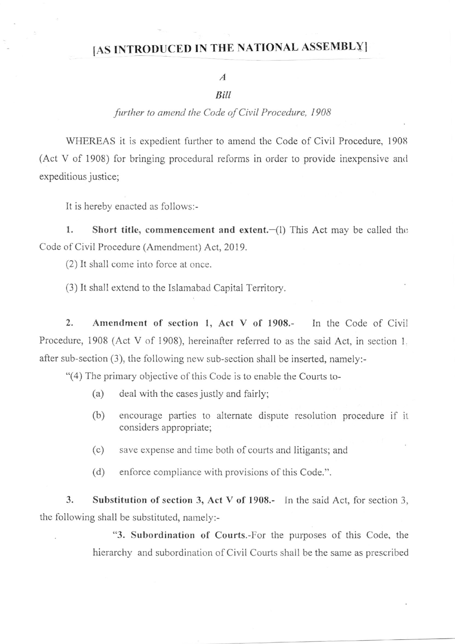## [AS INTRODUCED IN THE NATIONAL ASSEMBLY]

## A

## **Bill**

## further to amend the Code of Civil Procedure, 1908

WHEREAS it is expedient further to amend the Code of Civil Procedure, 1908 (Act V of 1908) for bringing procedural reforms in order to provide inexpensive and expeditious justice;

It is hereby enacted as follows:-

1. Short title, commencement and extent. $-(l)$  This Act may be called the Code of Civil Procedure (Amendment) Act, 2019.

(2) It shall come into force at once.

(3) It shall extend to the Islamabad Capital Territory.

2. Amendment of section 1, Act V of 1908.- In the Code of Civil Procedure, 1908 (Act V of 1908), hereinafter referred to as the said Act, in section 1. after sub-section (3), the following new sub-section shall be inserted, namely:-

"(4) The primary objective of this Code is to enable the Courts to-

- (a) deal with the cases justly and fairly;
- (b) encourage parties to alternate dispute resolution procedure if it considers appropriate;
- (c) save expense and time both of courts and litigants; and
- (d) enforce compliance with provisions of this Code.".

3. Substitution of section 3, Act V of 1908.- In the said Act, for section 3, the following shall be substituted, namely:-

> '3. Subordination of Courts.-For the purposes of this Code, the hierarchy and subordination of Civil Courts shall be the same as prescribed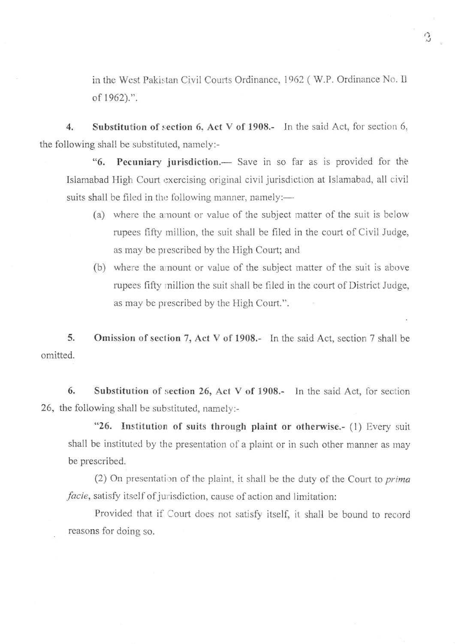in the West Pakistan Civil Courts Ordinance, 1962 (W.P. Ordinance No. Il of 1962).".

4. Substitution of section 6, Act V of 1908.- In the said Act, for section 6, the following shall be substituted, namely:-

"6. Pecuniary jurisdiction.— Save in so far as is provided for the Islamabad High Court exercising original civil jurisdiction at Islamabad, all civil suits shall be filed in the following manner, namely:—

- (a) where the amount or value of the subject matter of the suit is below rupees fifty million, the suit shall be filed in the court of Civil Judge, as may be prescribed by the High Court; and
- (b) where the amount or value of the subject matter of the suit is above rupees fifty million the suit shall be filed in the court of District Judge, as may be prescribed by the High Court.".

5. omitted. Omission of section 7, Act V of 1908.- In the said Act, section 7 shall be

6. Substitution of section 26, Act V of 1908.- In the said Act, for section 26, the following shall be substituted, namely:-

"26. Institution of suits through plaint or otherwise.- (1) Every suit shall be instituted by the presentation of a plaint or in such other manner as may be prescribed.

(2) On presentation of the plaint, it shall be the duty of the Court to  $prima$ facie, satisfy itself of jurisdiction, cause of action and limitation:

Provided that if Court does not satisfy itself, ir shall be bound to record reasons for doing so.

.